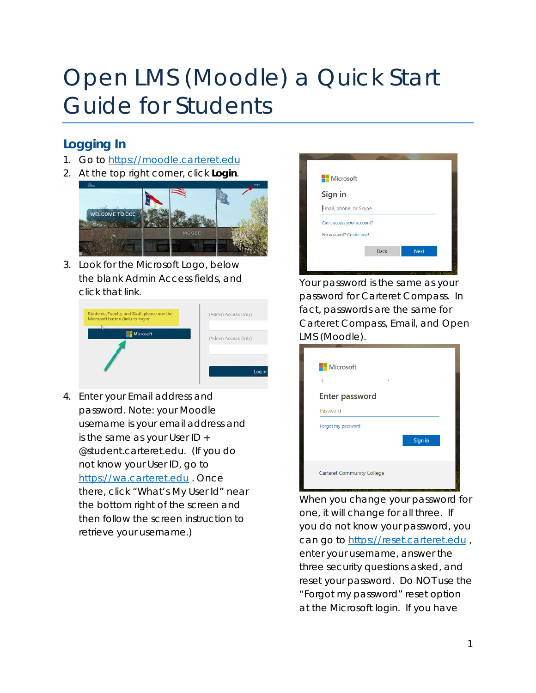# Open LMS (Moodle) a Quick Start Guide for Students

## **Logging In**

- 1. Go to [https://moodle.carteret.edu](https://moodle.carteret.edu/)
- 2. At the top right corner, click *Login*.



3. Look for the Microsoft Logo, below the blank Admin Access fields, and click that link.

| Students, Faculty, and Staff, please use the<br>Microsoft button (link) to log in: | (Admin Access Only) |
|------------------------------------------------------------------------------------|---------------------|
| Microsoft                                                                          | (Admin Access Only) |
|                                                                                    | l oa                |

4. Enter your Email address and password. Note: your Moodle username is your email address and is the same as your User ID + @student.carteret.edu. (If you do not know your User ID, go to [https://wa.carteret.edu](https://wa.carteret.edu/) . Once there, click "What's My User Id" near the bottom right of the screen and then follow the screen instruction to retrieve your username.)



Your password is the same as your password for Carteret Compass. In fact, passwords are the same for Carteret Compass, Email, and Open LMS (Moodle).

| Microsoft                         |         |
|-----------------------------------|---------|
| $\leftarrow$<br>٠                 |         |
| <b>Enter password</b>             |         |
| Password                          |         |
| Forgot my password                |         |
|                                   | Sign in |
|                                   |         |
| <b>Carteret Community College</b> |         |
|                                   |         |

When you change your password for one, it will change for all three. If you do not know your password, you can go to [https://reset.carteret.edu](https://reset.carteret.edu/), enter your username, answer the three security questions asked, and reset your password. *Do NOT use the "Forgot my password" reset option at the Microsoft login.* If you have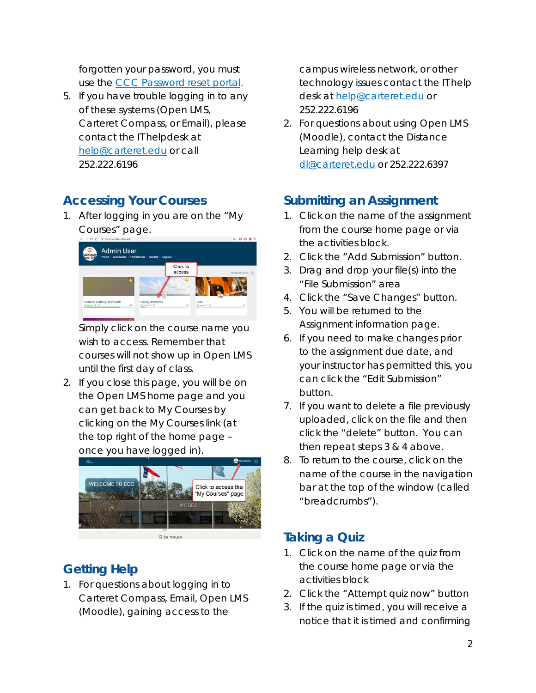forgotten your password, you must use the [CCC Password reset portal.](https://reset.carteret.edu/PasswordReset)

5. If you have trouble logging in to any of these systems (Open LMS, Carteret Compass, or Email), please contact the IT helpdesk at [help@carteret.edu](mailto:help@carteret.edu) or call 252.222.6196

### **Accessing Your Courses**

1. After logging in you are on the "My Courses" page.



Simply click on the course name you wish to access. Remember that courses will not show up in Open LMS until the first day of class.

2. If you close this page, you will be on the Open LMS home page and you can get back to My Courses by clicking on the My Courses link (at the top right of the home page – once you have logged in).



### **Getting Help**

1. For questions about logging in to Carteret Compass, Email, Open LMS (Moodle), gaining access to the

campus wireless network, or other technology issues contact the IT help desk at [help@carteret.edu](mailto:help@carteret.edu) or 252.222.6196

2. For questions about using Open LMS (Moodle), contact the Distance Learning help desk at [dl@carteret.edu](mailto:dl@carteret.edu) or 252.222.6397

#### **Submitting an Assignment**

- 1. Click on the name of the assignment from the course home page or via the activities block.
- 2. Click the "Add Submission" button.
- 3. Drag and drop your file(s) into the "File Submission" area
- 4. Click the "Save Changes" button.
- 5. You will be returned to the Assignment information page.
- 6. If you need to make changes prior to the assignment due date, and your instructor has permitted this, you can click the "Edit Submission" button.
- 7. If you want to delete a file previously uploaded, click on the file and then click the "delete" button. You can then repeat steps 3 & 4 above.
- 8. To return to the course, click on the name of the course in the navigation bar at the top of the window (called "breadcrumbs").

## **Taking a Quiz**

- 1. Click on the name of the quiz from the course home page or via the activities block
- 2. Click the "Attempt quiz now" button
- 3. If the quiz is timed, you will receive a notice that it is timed and confirming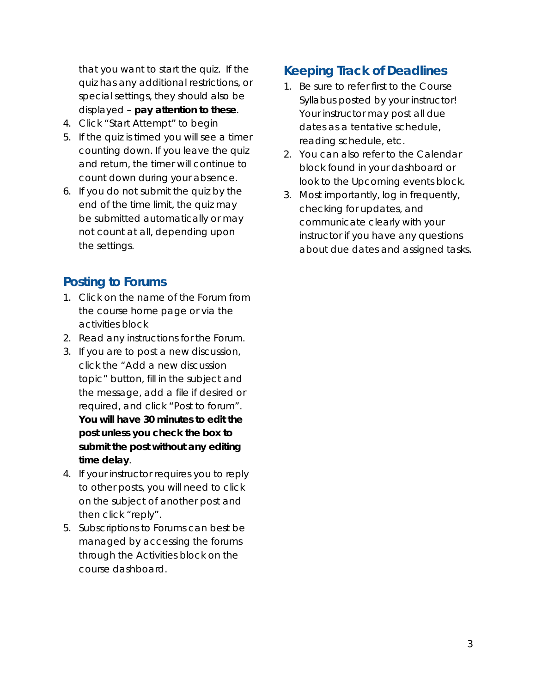that you want to start the quiz. If the quiz has any additional restrictions, or special settings, they should also be displayed – *pay attention to these*.

- 4. Click "Start Attempt" to begin
- 5. If the quiz is timed you will see a timer counting down. If you leave the quiz and return, the timer will continue to count down during your absence.
- 6. If you do not submit the quiz by the end of the time limit, the quiz may be submitted automatically or may not count at all, depending upon the settings.

#### **Posting to Forums**

- 1. Click on the name of the Forum from the course home page or via the activities block
- 2. Read any instructions for the Forum.
- 3. If you are to post a new discussion, click the "*Add a new discussion topic"* button*,* fill in the subject and the message, add a file if desired or required, and click "*Post to forum"*. *You will have 30 minutes to edit the post unless you check the box to submit the post without any editing time delay*.
- 4. If your instructor requires you to reply to other posts, you will need to click on the subject of another post and then click "reply".
- 5. Subscriptions to Forums can best be managed by accessing the forums through the Activities block on the course dashboard.

## **Keeping Track of Deadlines**

- 1. *Be sure to refer first to the Course Syllabus posted by your instructor!* Your instructor may post all due dates as a tentative schedule, reading schedule, etc.
- 2. You can also refer to the Calendar block found in your dashboard or look to the Upcoming events block.
- 3. Most importantly, log in frequently, checking for updates, and *communicate clearly with your instructor if you have any questions* about due dates and assigned tasks.